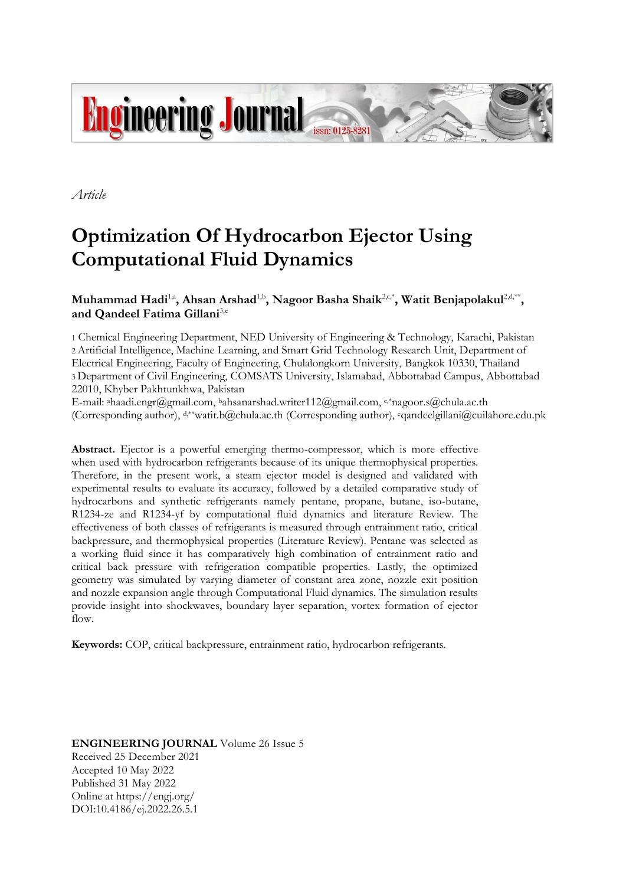

*Article*

# **Optimization Of Hydrocarbon Ejector Using Computational Fluid Dynamics**

# $\mathbf{M}$ uhammad Hadi<sup>1,a</sup>, Ahsan Arshad<sup>1,b</sup>, Nagoor Basha Shaik<sup>2,c,\*</sup>, Watit Benjapolakul<sup>2,d,\*\*</sup>, **and Qandeel Fatima Gillani**3,e

1 Chemical Engineering Department, NED University of Engineering & Technology, Karachi, Pakistan 2 Artificial Intelligence, Machine Learning, and Smart Grid Technology Research Unit, Department of Electrical Engineering, Faculty of Engineering, Chulalongkorn University, Bangkok 10330, Thailand 3 Department of Civil Engineering, COMSATS University, Islamabad, Abbottabad Campus, Abbottabad 22010, Khyber Pakhtunkhwa, Pakistan

E-mail: ªhaadi.engr@gmail.com, ʰahsanarshad.writer112@gmail.com, ˤ·\*nagoor.s@chula.ac.th (Corresponding author), d,\*\*watit.b@chula.ac.th (Corresponding author), eqandeelgillani@cuilahore.edu.pk

**Abstract.** Ejector is a powerful emerging thermo-compressor, which is more effective when used with hydrocarbon refrigerants because of its unique thermophysical properties. Therefore, in the present work, a steam ejector model is designed and validated with experimental results to evaluate its accuracy, followed by a detailed comparative study of hydrocarbons and synthetic refrigerants namely pentane, propane, butane, iso-butane, R1234-ze and R1234-yf by computational fluid dynamics and literature Review. The effectiveness of both classes of refrigerants is measured through entrainment ratio, critical backpressure, and thermophysical properties (Literature Review). Pentane was selected as a working fluid since it has comparatively high combination of entrainment ratio and critical back pressure with refrigeration compatible properties. Lastly, the optimized geometry was simulated by varying diameter of constant area zone, nozzle exit position and nozzle expansion angle through Computational Fluid dynamics. The simulation results provide insight into shockwaves, boundary layer separation, vortex formation of ejector flow.

**Keywords:** COP, critical backpressure, entrainment ratio, hydrocarbon refrigerants.

**ENGINEERING JOURNAL** Volume 26 Issue 5 Received 25 December 2021 Accepted 10 May 2022 Published 31 May 2022 Online at https://engj.org/ DOI:10.4186/ej.2022.26.5.1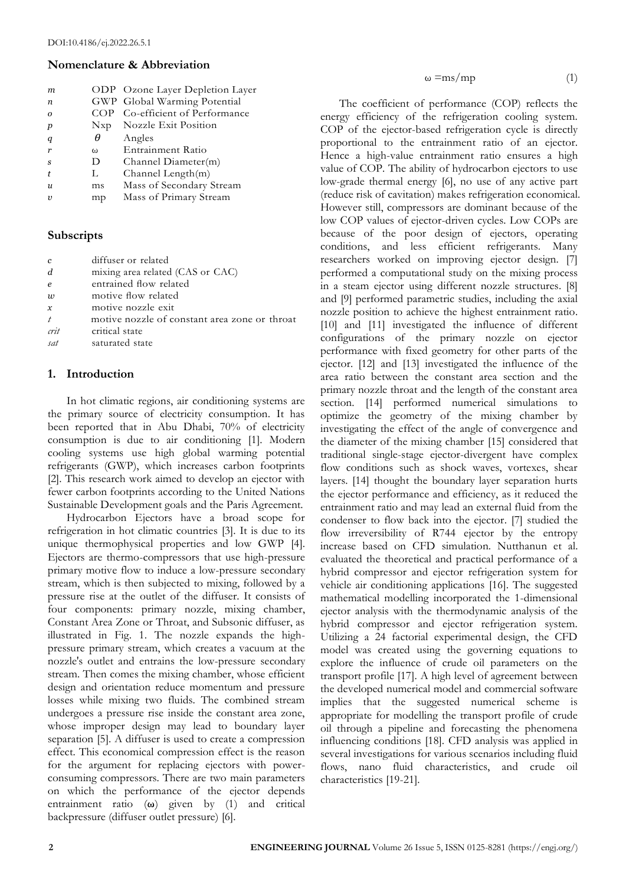# **Nomenclature & Abbreviation**

| m                |          | ODP Ozone Layer Depletion Layer |
|------------------|----------|---------------------------------|
| $\boldsymbol{n}$ |          | GWP Global Warming Potential    |
| $\Omega$         | COP      | Co-efficient of Performance     |
| p                | Nxp      | Nozzle Exit Position            |
| q                | θ        | Angles                          |
| r                | $\Omega$ | Entrainment Ratio               |
| <sub>S</sub>     | Ð        | Channel Diameter(m)             |
|                  | L        | Channel Length(m)               |
| $\mathfrak{u}$   | ms       | Mass of Secondary Stream        |
| $\mathbf{v}$     | mp       | Mass of Primary Stream          |
|                  |          |                                 |

# **Subscripts**

| $\boldsymbol{c}$ | diffuser or related                           |
|------------------|-----------------------------------------------|
| d                | mixing area related (CAS or CAC)              |
| $\boldsymbol{e}$ | entrained flow related                        |
| $\overline{w}$   | motive flow related                           |
| $\mathcal{X}$    | motive nozzle exit                            |
| $\boldsymbol{t}$ | motive nozzle of constant area zone or throat |
| crit             | critical state                                |
| sat              | saturated state                               |
|                  |                                               |

## **1. Introduction**

In hot climatic regions, air conditioning systems are the primary source of electricity consumption. It has been reported that in Abu Dhabi, 70% of electricity consumption is due to air conditioning [1]. Modern cooling systems use high global warming potential refrigerants (GWP), which increases carbon footprints [2]. This research work aimed to develop an ejector with fewer carbon footprints according to the United Nations Sustainable Development goals and the Paris Agreement.

Hydrocarbon Ejectors have a broad scope for refrigeration in hot climatic countries [3]. It is due to its unique thermophysical properties and low GWP [4]. Ejectors are thermo-compressors that use high-pressure primary motive flow to induce a low-pressure secondary stream, which is then subjected to mixing, followed by a pressure rise at the outlet of the diffuser. It consists of four components: primary nozzle, mixing chamber, Constant Area Zone or Throat, and Subsonic diffuser, as illustrated in Fig. 1. The nozzle expands the highpressure primary stream, which creates a vacuum at the nozzle's outlet and entrains the low-pressure secondary stream. Then comes the mixing chamber, whose efficient design and orientation reduce momentum and pressure losses while mixing two fluids. The combined stream undergoes a pressure rise inside the constant area zone, whose improper design may lead to boundary layer separation [5]. A diffuser is used to create a compression effect. This economical compression effect is the reason for the argument for replacing ejectors with powerconsuming compressors. There are two main parameters on which the performance of the ejector depends entrainment ratio (**ω**) given by (1) and critical backpressure (diffuser outlet pressure) [6].

 $\omega = \frac{m}{m}$  (1)

The coefficient of performance (COP) reflects the energy efficiency of the refrigeration cooling system. COP of the ejector-based refrigeration cycle is directly proportional to the entrainment ratio of an ejector. Hence a high-value entrainment ratio ensures a high value of COP. The ability of hydrocarbon ejectors to use low-grade thermal energy [6], no use of any active part (reduce risk of cavitation) makes refrigeration economical. However still, compressors are dominant because of the low COP values of ejector-driven cycles. Low COPs are because of the poor design of ejectors, operating conditions, and less efficient refrigerants. Many researchers worked on improving ejector design. [7] performed a computational study on the mixing process in a steam ejector using different nozzle structures. [8] and [9] performed parametric studies, including the axial nozzle position to achieve the highest entrainment ratio. [10] and [11] investigated the influence of different configurations of the primary nozzle on ejector performance with fixed geometry for other parts of the ejector. [12] and [13] investigated the influence of the area ratio between the constant area section and the primary nozzle throat and the length of the constant area section. [14] performed numerical simulations to optimize the geometry of the mixing chamber by investigating the effect of the angle of convergence and the diameter of the mixing chamber [15] considered that traditional single-stage ejector-divergent have complex flow conditions such as shock waves, vortexes, shear layers. [14] thought the boundary layer separation hurts the ejector performance and efficiency, as it reduced the entrainment ratio and may lead an external fluid from the condenser to flow back into the ejector. [7] studied the flow irreversibility of R744 ejector by the entropy increase based on CFD simulation. Nutthanun et al. evaluated the theoretical and practical performance of a hybrid compressor and ejector refrigeration system for vehicle air conditioning applications [16]. The suggested mathematical modelling incorporated the 1-dimensional ejector analysis with the thermodynamic analysis of the hybrid compressor and ejector refrigeration system. Utilizing a 24 factorial experimental design, the CFD model was created using the governing equations to explore the influence of crude oil parameters on the transport profile [17]. A high level of agreement between the developed numerical model and commercial software implies that the suggested numerical scheme is appropriate for modelling the transport profile of crude oil through a pipeline and forecasting the phenomena influencing conditions [18]. CFD analysis was applied in several investigations for various scenarios including fluid flows, nano fluid characteristics, and crude oil characteristics [19-21].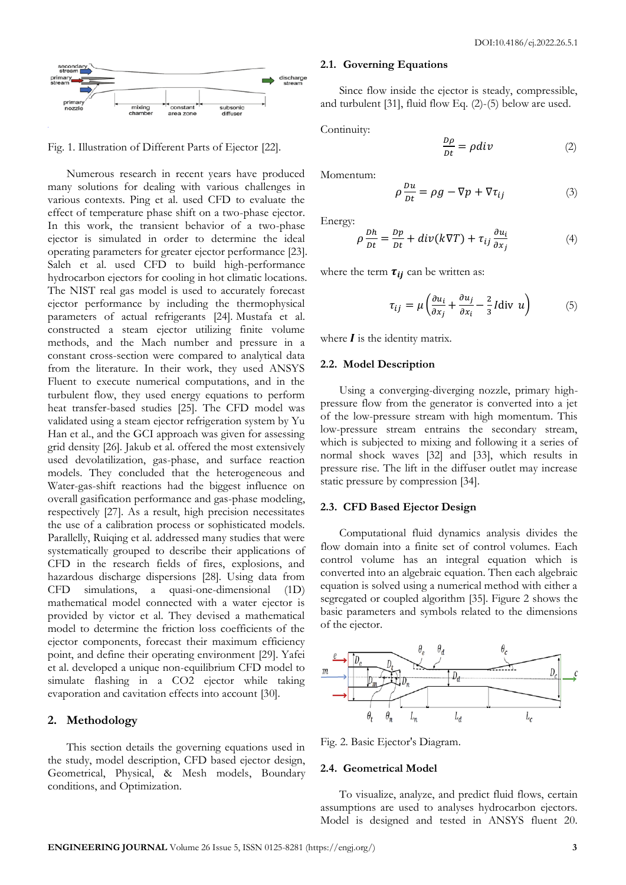

Fig. 1. Illustration of Different Parts of Ejector [22].

Numerous research in recent years have produced many solutions for dealing with various challenges in various contexts. Ping et al. used CFD to evaluate the effect of temperature phase shift on a two-phase ejector. In this work, the transient behavior of a two-phase ejector is simulated in order to determine the ideal operating parameters for greater ejector performance [23]. Saleh et al. used CFD to build high-performance hydrocarbon ejectors for cooling in hot climatic locations. The NIST real gas model is used to accurately forecast ejector performance by including the thermophysical parameters of actual refrigerants [24]. Mustafa et al. constructed a steam ejector utilizing finite volume methods, and the Mach number and pressure in a constant cross-section were compared to analytical data from the literature. In their work, they used ANSYS Fluent to execute numerical computations, and in the turbulent flow, they used energy equations to perform heat transfer-based studies [25]. The CFD model was validated using a steam ejector refrigeration system by Yu Han et al., and the GCI approach was given for assessing grid density [26]. Jakub et al. offered the most extensively used devolatilization, gas-phase, and surface reaction models. They concluded that the heterogeneous and Water-gas-shift reactions had the biggest influence on overall gasification performance and gas-phase modeling, respectively [27]. As a result, high precision necessitates the use of a calibration process or sophisticated models. Parallelly, Ruiqing et al. addressed many studies that were systematically grouped to describe their applications of CFD in the research fields of fires, explosions, and hazardous discharge dispersions [28]. Using data from CFD simulations, a quasi-one-dimensional (1D) mathematical model connected with a water ejector is provided by victor et al. They devised a mathematical model to determine the friction loss coefficients of the ejector components, forecast their maximum efficiency point, and define their operating environment [29]. Yafei et al. developed a unique non-equilibrium CFD model to simulate flashing in a CO2 ejector while taking evaporation and cavitation effects into account [30].

# **2. Methodology**

This section details the governing equations used in the study, model description, CFD based ejector design, Geometrical, Physical, & Mesh models, Boundary conditions, and Optimization.

#### **2.1. Governing Equations**

Since flow inside the ejector is steady, compressible, and turbulent [31], fluid flow Eq. (2)-(5) below are used.

Continuity:

$$
\frac{D\rho}{Dt} = \rho \, div \tag{2}
$$

Momentum:

$$
\rho \frac{Du}{Dt} = \rho g - \nabla p + \nabla \tau_{ij} \tag{3}
$$

Energy:

$$
\rho \frac{Dh}{Dt} = \frac{Dp}{Dt} + div(k\nabla T) + \tau_{ij} \frac{\partial u_i}{\partial x_j}
$$
(4)

where the term  $\tau_{ii}$  can be written as:

$$
\tau_{ij} = \mu \left( \frac{\partial u_i}{\partial x_j} + \frac{\partial u_j}{\partial x_i} - \frac{2}{3} I \text{div } u \right) \tag{5}
$$

where  $\boldsymbol{I}$  is the identity matrix.

#### **2.2. Model Description**

Using a converging-diverging nozzle, primary highpressure flow from the generator is converted into a jet of the low-pressure stream with high momentum. This low-pressure stream entrains the secondary stream, which is subjected to mixing and following it a series of normal shock waves [32] and [33], which results in pressure rise. The lift in the diffuser outlet may increase static pressure by compression [34].

#### **2.3. CFD Based Ejector Design**

Computational fluid dynamics analysis divides the flow domain into a finite set of control volumes. Each control volume has an integral equation which is converted into an algebraic equation. Then each algebraic equation is solved using a numerical method with either a segregated or coupled algorithm [35]. Figure 2 shows the basic parameters and symbols related to the dimensions of the ejector.



Fig. 2. Basic Ejector's Diagram.

#### **2.4. Geometrical Model**

To visualize, analyze, and predict fluid flows, certain assumptions are used to analyses hydrocarbon ejectors. Model is designed and tested in ANSYS fluent 20.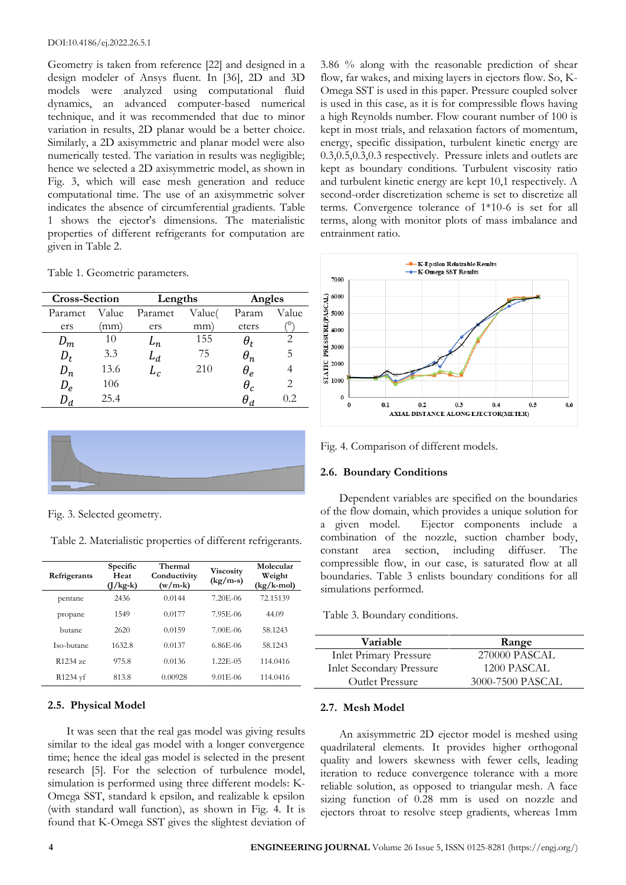#### DOI:10.4186/ej.2022.26.5.1

Geometry is taken from reference [22] and designed in a design modeler of Ansys fluent. In [36], 2D and 3D models were analyzed using computational fluid dynamics, an advanced computer-based numerical technique, and it was recommended that due to minor variation in results, 2D planar would be a better choice. Similarly, a 2D axisymmetric and planar model were also numerically tested. The variation in results was negligible; hence we selected a 2D axisymmetric model, as shown in Fig. 3, which will ease mesh generation and reduce computational time. The use of an axisymmetric solver indicates the absence of circumferential gradients. Table 1 shows the ejector's dimensions. The materialistic properties of different refrigerants for computation are given in Table 2.

Table 1. Geometric parameters.

| <b>Cross-Section</b> |       | Lengths             |        | Angles       |       |
|----------------------|-------|---------------------|--------|--------------|-------|
| Paramet              | Value | Paramet             | Value( | Param        | Value |
| ers                  | mm)   | ers                 | mm)    | eters        |       |
| $D_m$                | 10    | $\scriptstyle{L_n}$ | 155    | $\theta_{t}$ | 2     |
| $D_t$                | 3.3   | $L_d$               | 75     | $\theta_n$   | 5     |
| $D_n$                | 13.6  | $L_c$               | 210    | $\theta_e$   |       |
| $D_e$                | 106   |                     |        | $\theta_c$   | 2     |
|                      | 25.4  |                     |        |              | 0.2   |



Fig. 3. Selected geometry.

Table 2. Materialistic properties of different refrigerants.

| Refrigerants         | Specific<br>Heat<br>$\frac{1}{\text{kg-k}}$ | Thermal<br>Conductivity<br>$(w/m-k)$ | <b>Viscosity</b><br>$(kg/m-s)$ | Molecular<br>Weight<br>$(kg/k$ -mol) |
|----------------------|---------------------------------------------|--------------------------------------|--------------------------------|--------------------------------------|
| pentane              | 2436                                        | 0.0144                               | 7.20E-06                       | 72.15139                             |
| propane              | 1549                                        | 0.0177                               | 7.95E-06                       | 44.09                                |
| butane               | 2620                                        | 0.0159                               | 7.00E-06                       | 58.1243                              |
| Iso-butane           | 1632.8                                      | 0.0137                               | 6.86E-06                       | 58.1243                              |
| R <sub>1234</sub> ze | 975.8                                       | 0.0136                               | $1.22E - 0.5$                  | 114.0416                             |
| R1234 yf             | 813.8                                       | 0.00928                              | $9.01E - 06$                   | 114.0416                             |

#### **2.5. Physical Model**

It was seen that the real gas model was giving results similar to the ideal gas model with a longer convergence time; hence the ideal gas model is selected in the present research [5]. For the selection of turbulence model, simulation is performed using three different models: K-Omega SST, standard k epsilon, and realizable k epsilon (with standard wall function), as shown in Fig. 4. It is found that K-Omega SST gives the slightest deviation of 3.86 % along with the reasonable prediction of shear flow, far wakes, and mixing layers in ejectors flow. So, K-Omega SST is used in this paper. Pressure coupled solver is used in this case, as it is for compressible flows having a high Reynolds number. Flow courant number of 100 is kept in most trials, and relaxation factors of momentum, energy, specific dissipation, turbulent kinetic energy are 0.3,0.5,0.3,0.3 respectively. Pressure inlets and outlets are kept as boundary conditions. Turbulent viscosity ratio and turbulent kinetic energy are kept 10,1 respectively. A second-order discretization scheme is set to discretize all terms. Convergence tolerance of 1\*10-6 is set for all terms, along with monitor plots of mass imbalance and entrainment ratio.



Fig. 4. Comparison of different models.

#### **2.6. Boundary Conditions**

Dependent variables are specified on the boundaries of the flow domain, which provides a unique solution for a given model. Ejector components include a combination of the nozzle, suction chamber body, constant area section, including diffuser. The compressible flow, in our case, is saturated flow at all boundaries. Table 3 enlists boundary conditions for all simulations performed.

Table 3. Boundary conditions.

| Variable                        | Range            |
|---------------------------------|------------------|
| <b>Inlet Primary Pressure</b>   | 270000 PASCAL    |
| <b>Inlet Secondary Pressure</b> | 1200 PASCAL      |
| Outlet Pressure                 | 3000-7500 PASCAL |

## **2.7. Mesh Model**

An axisymmetric 2D ejector model is meshed using quadrilateral elements. It provides higher orthogonal quality and lowers skewness with fewer cells, leading iteration to reduce convergence tolerance with a more reliable solution, as opposed to triangular mesh. A face sizing function of 0.28 mm is used on nozzle and ejectors throat to resolve steep gradients, whereas 1mm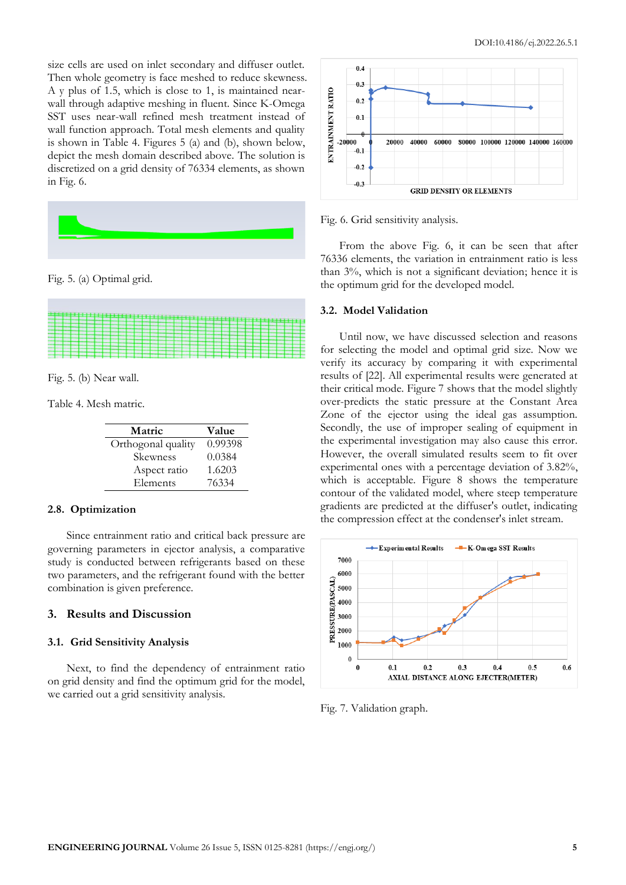size cells are used on inlet secondary and diffuser outlet. Then whole geometry is face meshed to reduce skewness. A y plus of 1.5, which is close to 1, is maintained nearwall through adaptive meshing in fluent. Since K-Omega SST uses near-wall refined mesh treatment instead of wall function approach. Total mesh elements and quality is shown in Table 4. Figures 5 (a) and (b), shown below, depict the mesh domain described above. The solution is discretized on a grid density of 76334 elements, as shown in Fig. 6.



Fig. 5. (a) Optimal grid.



Fig. 5. (b) Near wall.

Table 4. Mesh matric.

| Matric             | Value   |
|--------------------|---------|
| Orthogonal quality | 0.99398 |
| Skewness           | 0.0384  |
| Aspect ratio       | 1.6203  |
| Elements           | 76334   |

#### **2.8. Optimization**

Since entrainment ratio and critical back pressure are governing parameters in ejector analysis, a comparative study is conducted between refrigerants based on these two parameters, and the refrigerant found with the better combination is given preference.

# **3. Results and Discussion**

#### **3.1. Grid Sensitivity Analysis**

Next, to find the dependency of entrainment ratio on grid density and find the optimum grid for the model, we carried out a grid sensitivity analysis.



Fig. 6. Grid sensitivity analysis.

From the above Fig. 6, it can be seen that after 76336 elements, the variation in entrainment ratio is less than 3%, which is not a significant deviation; hence it is the optimum grid for the developed model.

## **3.2. Model Validation**

Until now, we have discussed selection and reasons for selecting the model and optimal grid size. Now we verify its accuracy by comparing it with experimental results of [22]. All experimental results were generated at their critical mode. Figure 7 shows that the model slightly over-predicts the static pressure at the Constant Area Zone of the ejector using the ideal gas assumption. Secondly, the use of improper sealing of equipment in the experimental investigation may also cause this error. However, the overall simulated results seem to fit over experimental ones with a percentage deviation of 3.82%, which is acceptable. Figure 8 shows the temperature contour of the validated model, where steep temperature gradients are predicted at the diffuser's outlet, indicating the compression effect at the condenser's inlet stream.



Fig. 7. Validation graph.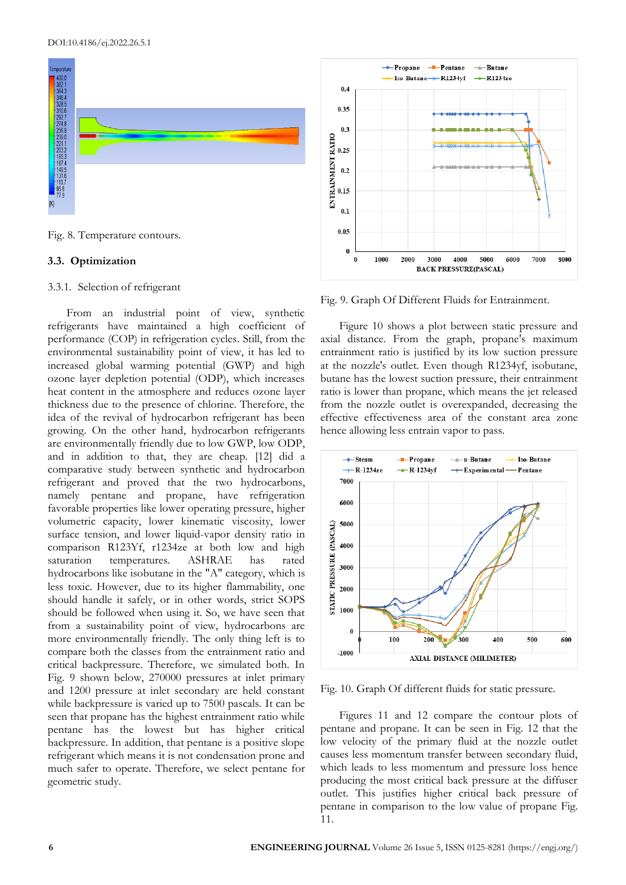

Fig. 8. Temperature contours.

#### **3.3. Optimization**

#### 3.3.1. Selection of refrigerant

From an industrial point of view, synthetic refrigerants have maintained a high coefficient of performance (COP) in refrigeration cycles. Still, from the environmental sustainability point of view, it has led to increased global warming potential (GWP) and high ozone layer depletion potential (ODP), which increases heat content in the atmosphere and reduces ozone layer thickness due to the presence of chlorine. Therefore, the idea of the revival of hydrocarbon refrigerant has been growing. On the other hand, hydrocarbon refrigerants are environmentally friendly due to low GWP, low ODP, and in addition to that, they are cheap. [12] did a comparative study between synthetic and hydrocarbon refrigerant and proved that the two hydrocarbons, namely pentane and propane, have refrigeration favorable properties like lower operating pressure, higher volumetric capacity, lower kinematic viscosity, lower surface tension, and lower liquid-vapor density ratio in comparison R123Yf, r1234ze at both low and high saturation temperatures. ASHRAE has rated hydrocarbons like isobutane in the "A" category, which is less toxic. However, due to its higher flammability, one should handle it safely, or in other words, strict SOPS should be followed when using it. So, we have seen that from a sustainability point of view, hydrocarbons are more environmentally friendly. The only thing left is to compare both the classes from the entrainment ratio and critical backpressure. Therefore, we simulated both. In Fig. 9 shown below, 270000 pressures at inlet primary and 1200 pressure at inlet secondary are held constant while backpressure is varied up to 7500 pascals. It can be seen that propane has the highest entrainment ratio while pentane has the lowest but has higher critical backpressure. In addition, that pentane is a positive slope refrigerant which means it is not condensation prone and much safer to operate. Therefore, we select pentane for geometric study.



Fig. 9. Graph Of Different Fluids for Entrainment.

Figure 10 shows a plot between static pressure and axial distance. From the graph, propane's maximum entrainment ratio is justified by its low suction pressure at the nozzle's outlet. Even though R1234yf, isobutane, butane has the lowest suction pressure, their entrainment ratio is lower than propane, which means the jet released from the nozzle outlet is overexpanded, decreasing the effective effectiveness area of the constant area zone hence allowing less entrain vapor to pass.



Fig. 10. Graph Of different fluids for static pressure.

Figures 11 and 12 compare the contour plots of pentane and propane. It can be seen in Fig. 12 that the low velocity of the primary fluid at the nozzle outlet causes less momentum transfer between secondary fluid, which leads to less momentum and pressure loss hence producing the most critical back pressure at the diffuser outlet. This justifies higher critical back pressure of pentane in comparison to the low value of propane Fig. 11.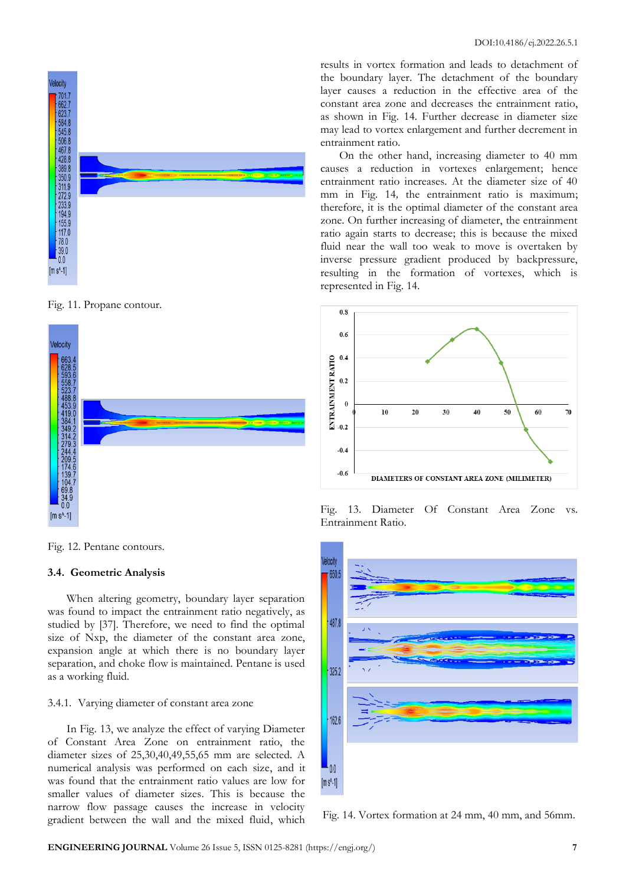results in vortex formation and leads to detachment of the boundary layer. The detachment of the boundary layer causes a reduction in the effective area of the constant area zone and decreases the entrainment ratio, as shown in Fig. 14. Further decrease in diameter size may lead to vortex enlargement and further decrement in entrainment ratio.

On the other hand, increasing diameter to 40 mm causes a reduction in vortexes enlargement; hence entrainment ratio increases. At the diameter size of 40 mm in Fig. 14*,* the entrainment ratio is maximum; therefore, it is the optimal diameter of the constant area zone. On further increasing of diameter, the entrainment ratio again starts to decrease; this is because the mixed fluid near the wall too weak to move is overtaken by inverse pressure gradient produced by backpressure, resulting in the formation of vortexes, which is represented in Fig. 14.



Fig. 13. Diameter Of Constant Area Zone vs. Entrainment Ratio.



Fig. 14. Vortex formation at 24 mm, 40 mm, and 56mm.



**/elocity**  $701.$ 

662.7<br>623.7<br>584.8 545.8 68.8<br>545.8 428.8<br>428.8 428.8<br>350.9<br>350.9<br>233.9<br>11.9<br>223.9<br>11.9<br>55.9<br>4<br>55.9<br>4<br>5<br>50.8<br>2<br>30.9<br>35.9<br>2<br>3

 $\begin{bmatrix} 39.0 \\ 0.0 \end{bmatrix}$  $[m s<sup>A</sup>-1]$ 



Fig. 12. Pentane contours.

# **3.4. Geometric Analysis**

When altering geometry, boundary layer separation was found to impact the entrainment ratio negatively, as studied by [37]. Therefore, we need to find the optimal size of Nxp, the diameter of the constant area zone, expansion angle at which there is no boundary layer separation, and choke flow is maintained. Pentane is used as a working fluid.

# 3.4.1. Varying diameter of constant area zone

In Fig. 13, we analyze the effect of varying Diameter of Constant Area Zone on entrainment ratio, the diameter sizes of 25,30,40,49,55,65 mm are selected. A numerical analysis was performed on each size, and it was found that the entrainment ratio values are low for smaller values of diameter sizes. This is because the narrow flow passage causes the increase in velocity gradient between the wall and the mixed fluid, which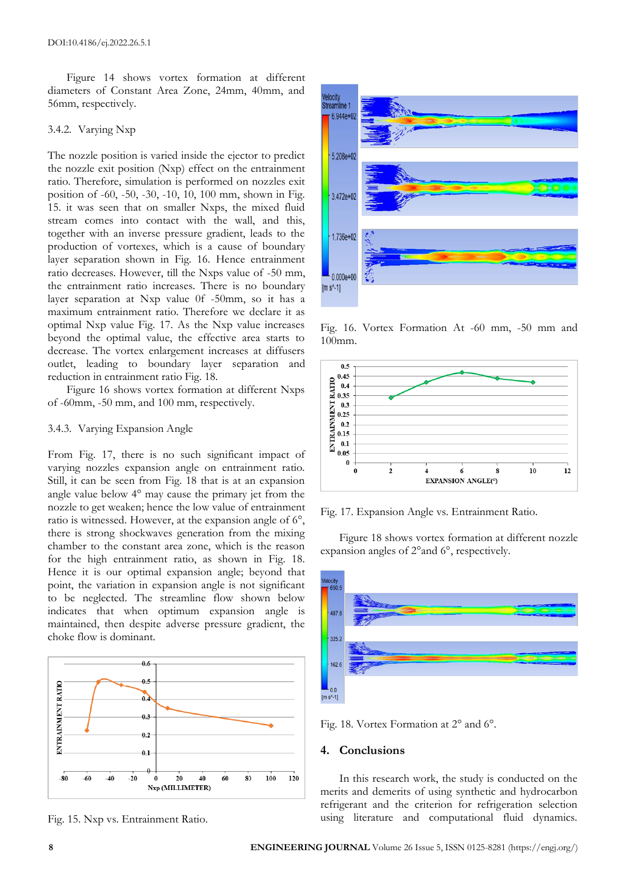Figure 14 shows vortex formation at different diameters of Constant Area Zone, 24mm, 40mm, and 56mm, respectively.

#### 3.4.2. Varying Nxp

The nozzle position is varied inside the ejector to predict the nozzle exit position (Nxp) effect on the entrainment ratio. Therefore, simulation is performed on nozzles exit position of -60, -50, -30, -10, 10, 100 mm, shown in Fig. 15. it was seen that on smaller Nxps, the mixed fluid stream comes into contact with the wall, and this, together with an inverse pressure gradient, leads to the production of vortexes, which is a cause of boundary layer separation shown in Fig. 16. Hence entrainment ratio decreases. However, till the Nxps value of -50 mm, the entrainment ratio increases. There is no boundary layer separation at Nxp value 0f -50mm, so it has a maximum entrainment ratio. Therefore we declare it as optimal Nxp value Fig. 17. As the Nxp value increases beyond the optimal value, the effective area starts to decrease. The vortex enlargement increases at diffusers outlet, leading to boundary layer separation and reduction in entrainment ratio Fig. 18.

Figure 16 shows vortex formation at different Nxps of -60mm, -50 mm, and 100 mm, respectively.

## 3.4.3. Varying Expansion Angle

From Fig. 17, there is no such significant impact of varying nozzles expansion angle on entrainment ratio. Still, it can be seen from Fig. 18 that is at an expansion angle value below 4° may cause the primary jet from the nozzle to get weaken; hence the low value of entrainment ratio is witnessed. However, at the expansion angle of 6°, there is strong shockwaves generation from the mixing chamber to the constant area zone, which is the reason for the high entrainment ratio, as shown in Fig. 18. Hence it is our optimal expansion angle; beyond that point, the variation in expansion angle is not significant to be neglected. The streamline flow shown below indicates that when optimum expansion angle is maintained, then despite adverse pressure gradient, the choke flow is dominant.







Fig. 16. Vortex Formation At -60 mm, -50 mm and 100mm.



Fig. 17. Expansion Angle vs. Entrainment Ratio.

Figure 18 shows vortex formation at different nozzle expansion angles of 2°and 6°, respectively.



Fig. 18. Vortex Formation at 2° and 6°.

#### **4. Conclusions**

In this research work, the study is conducted on the merits and demerits of using synthetic and hydrocarbon refrigerant and the criterion for refrigeration selection using literature and computational fluid dynamics.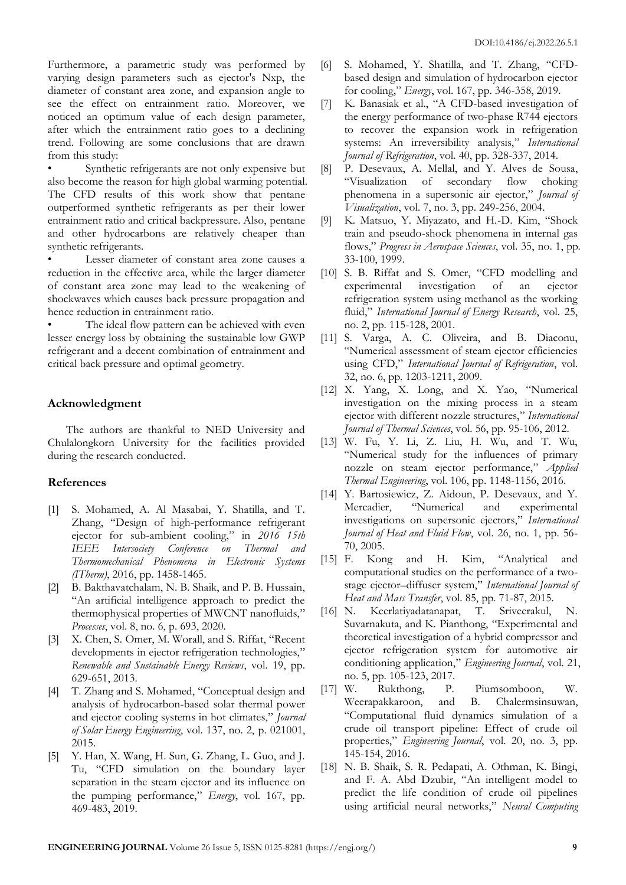Furthermore, a parametric study was performed by varying design parameters such as ejector's Nxp, the diameter of constant area zone, and expansion angle to see the effect on entrainment ratio. Moreover, we noticed an optimum value of each design parameter, after which the entrainment ratio goes to a declining trend. Following are some conclusions that are drawn from this study:

Synthetic refrigerants are not only expensive but also become the reason for high global warming potential. The CFD results of this work show that pentane outperformed synthetic refrigerants as per their lower entrainment ratio and critical backpressure. Also, pentane and other hydrocarbons are relatively cheaper than synthetic refrigerants.

Lesser diameter of constant area zone causes a reduction in the effective area, while the larger diameter of constant area zone may lead to the weakening of shockwaves which causes back pressure propagation and hence reduction in entrainment ratio.

The ideal flow pattern can be achieved with even lesser energy loss by obtaining the sustainable low GWP refrigerant and a decent combination of entrainment and critical back pressure and optimal geometry.

# **Acknowledgment**

The authors are thankful to NED University and Chulalongkorn University for the facilities provided during the research conducted.

# **References**

- [1] S. Mohamed, A. Al Masabai, Y. Shatilla, and T. Zhang, "Design of high-performance refrigerant ejector for sub-ambient cooling," in *2016 15th IEEE Intersociety Conference on Thermal and Thermomechanical Phenomena in Electronic Systems (ITherm)*, 2016, pp. 1458-1465.
- [2] B. Bakthavatchalam, N. B. Shaik, and P. B. Hussain, "An artificial intelligence approach to predict the thermophysical properties of MWCNT nanofluids," *Processes*, vol. 8, no. 6, p. 693, 2020.
- [3] X. Chen, S. Omer, M. Worall, and S. Riffat, "Recent developments in ejector refrigeration technologies," *Renewable and Sustainable Energy Reviews*, vol. 19, pp. 629-651, 2013.
- [4] T. Zhang and S. Mohamed, "Conceptual design and analysis of hydrocarbon-based solar thermal power and ejector cooling systems in hot climates," *Journal of Solar Energy Engineering*, vol. 137, no. 2, p. 021001, 2015.
- [5] Y. Han, X. Wang, H. Sun, G. Zhang, L. Guo, and J. Tu, "CFD simulation on the boundary layer separation in the steam ejector and its influence on the pumping performance," *Energy*, vol. 167, pp. 469-483, 2019.
- [6] S. Mohamed, Y. Shatilla, and T. Zhang, "CFDbased design and simulation of hydrocarbon ejector for cooling," *Energy*, vol. 167, pp. 346-358, 2019.
- [7] K. Banasiak et al., "A CFD-based investigation of the energy performance of two-phase R744 ejectors to recover the expansion work in refrigeration systems: An irreversibility analysis," *International Journal of Refrigeration*, vol. 40, pp. 328-337, 2014.
- [8] P. Desevaux, A. Mellal, and Y. Alves de Sousa, "Visualization of secondary flow choking phenomena in a supersonic air ejector," *Journal of Visualization*, vol. 7, no. 3, pp. 249-256, 2004.
- [9] K. Matsuo, Y. Miyazato, and H.-D. Kim, "Shock train and pseudo-shock phenomena in internal gas flows," *Progress in Aerospace Sciences*, vol. 35, no. 1, pp. 33-100, 1999.
- [10] S. B. Riffat and S. Omer, "CFD modelling and experimental investigation of an ejector refrigeration system using methanol as the working fluid," *International Journal of Energy Research*, vol. 25, no. 2, pp. 115-128, 2001.
- [11] S. Varga, A. C. Oliveira, and B. Diaconu, "Numerical assessment of steam ejector efficiencies using CFD," *International Journal of Refrigeration*, vol. 32, no. 6, pp. 1203-1211, 2009.
- [12] X. Yang, X. Long, and X. Yao, "Numerical investigation on the mixing process in a steam ejector with different nozzle structures," *International Journal of Thermal Sciences*, vol. 56, pp. 95-106, 2012.
- [13] W. Fu, Y. Li, Z. Liu, H. Wu, and T. Wu, "Numerical study for the influences of primary nozzle on steam ejector performance," *Applied Thermal Engineering*, vol. 106, pp. 1148-1156, 2016.
- [14] Y. Bartosiewicz, Z. Aidoun, P. Desevaux, and Y. Mercadier, "Numerical and experimental investigations on supersonic ejectors," *International Journal of Heat and Fluid Flow*, vol. 26, no. 1, pp. 56- 70, 2005.
- [15] F. Kong and H. Kim, "Analytical and computational studies on the performance of a twostage ejector–diffuser system," *International Journal of Heat and Mass Transfer*, vol. 85, pp. 71-87, 2015.
- [16] N. Keerlatiyadatanapat, T. Sriveerakul, N. Suvarnakuta, and K. Pianthong, "Experimental and theoretical investigation of a hybrid compressor and ejector refrigeration system for automotive air conditioning application," *Engineering Journal*, vol. 21, no. 5, pp. 105-123, 2017.
- [17] W. Rukthong, P. Piumsomboon, W. Weerapakkaroon, and B. Chalermsinsuwan, "Computational fluid dynamics simulation of a crude oil transport pipeline: Effect of crude oil properties," *Engineering Journal*, vol. 20, no. 3, pp. 145-154, 2016.
- [18] N. B. Shaik, S. R. Pedapati, A. Othman, K. Bingi, and F. A. Abd Dzubir, "An intelligent model to predict the life condition of crude oil pipelines using artificial neural networks," *Neural Computing*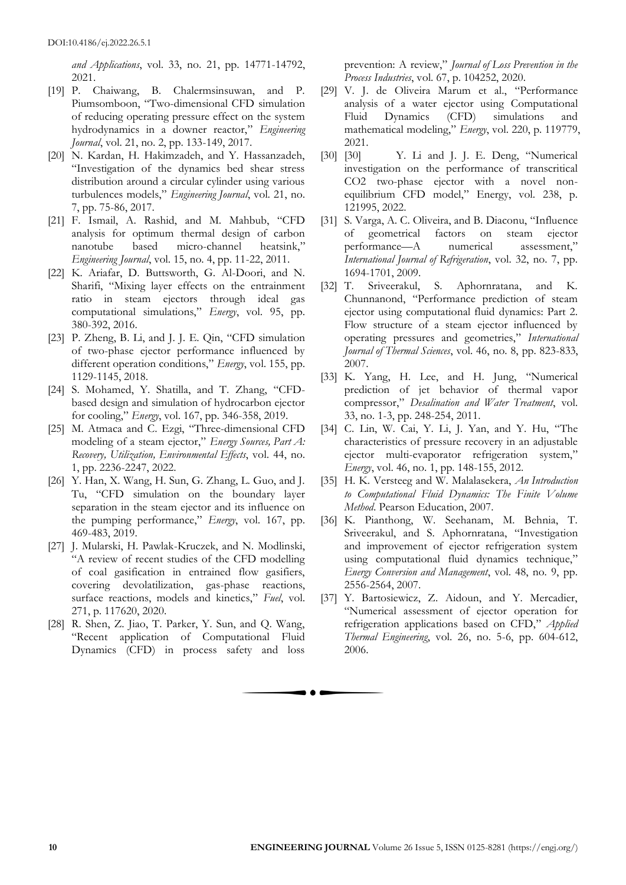*and Applications*, vol. 33, no. 21, pp. 14771-14792, 2021.

- [19] P. Chaiwang, B. Chalermsinsuwan, and P. Piumsomboon, "Two-dimensional CFD simulation of reducing operating pressure effect on the system hydrodynamics in a downer reactor," *Engineering Journal*, vol. 21, no. 2, pp. 133-149, 2017.
- [20] N. Kardan, H. Hakimzadeh, and Y. Hassanzadeh, "Investigation of the dynamics bed shear stress distribution around a circular cylinder using various turbulences models," *Engineering Journal*, vol. 21, no. 7, pp. 75-86, 2017.
- [21] F. Ismail, A. Rashid, and M. Mahbub, "CFD analysis for optimum thermal design of carbon nanotube based micro-channel heatsink," *Engineering Journal*, vol. 15, no. 4, pp. 11-22, 2011.
- [22] K. Ariafar, D. Buttsworth, G. Al-Doori, and N. Sharifi, "Mixing layer effects on the entrainment ratio in steam ejectors through ideal gas computational simulations," *Energy*, vol. 95, pp. 380-392, 2016.
- [23] P. Zheng, B. Li, and J. J. E. Qin, "CFD simulation of two-phase ejector performance influenced by different operation conditions," *Energy*, vol. 155, pp. 1129-1145, 2018.
- [24] S. Mohamed, Y. Shatilla, and T. Zhang, "CFDbased design and simulation of hydrocarbon ejector for cooling," *Energy*, vol. 167, pp. 346-358, 2019.
- [25] M. Atmaca and C. Ezgi, "Three-dimensional CFD modeling of a steam ejector," *Energy Sources, Part A: Recovery, Utilization, Environmental Effects*, vol. 44, no. 1, pp. 2236-2247, 2022.
- [26] Y. Han, X. Wang, H. Sun, G. Zhang, L. Guo, and J. Tu, "CFD simulation on the boundary layer separation in the steam ejector and its influence on the pumping performance," *Energy*, vol. 167, pp. 469-483, 2019.
- [27] J. Mularski, H. Pawlak-Kruczek, and N. Modlinski, "A review of recent studies of the CFD modelling of coal gasification in entrained flow gasifiers, covering devolatilization, gas-phase reactions, surface reactions, models and kinetics," *Fuel*, vol. 271, p. 117620, 2020.
- [28] R. Shen, Z. Jiao, T. Parker, Y. Sun, and Q. Wang, "Recent application of Computational Fluid Dynamics (CFD) in process safety and loss

prevention: A review," *Journal of Loss Prevention in the Process Industries*, vol. 67, p. 104252, 2020.

- [29] V. J. de Oliveira Marum et al., "Performance analysis of a water ejector using Computational Fluid Dynamics (CFD) simulations and mathematical modeling," *Energy*, vol. 220, p. 119779, 2021.
- [30] [30] Y. Li and J. J. E. Deng, "Numerical investigation on the performance of transcritical CO2 two-phase ejector with a novel nonequilibrium CFD model," Energy, vol. 238, p. 121995, 2022.
- [31] S. Varga, A. C. Oliveira, and B. Diaconu, "Influence of geometrical factors on steam ejector performance—A numerical assessment," *International Journal of Refrigeration*, vol. 32, no. 7, pp. 1694-1701, 2009.
- [32] T. Sriveerakul, S. Aphornratana, and K. Chunnanond, "Performance prediction of steam ejector using computational fluid dynamics: Part 2. Flow structure of a steam ejector influenced by operating pressures and geometries," *International Journal of Thermal Sciences*, vol. 46, no. 8, pp. 823-833, 2007.
- [33] K. Yang, H. Lee, and H. Jung, "Numerical prediction of jet behavior of thermal vapor compressor," *Desalination and Water Treatment*, vol. 33, no. 1-3, pp. 248-254, 2011.
- [34] C. Lin, W. Cai, Y. Li, J. Yan, and Y. Hu, "The characteristics of pressure recovery in an adjustable ejector multi-evaporator refrigeration system," *Energy*, vol. 46, no. 1, pp. 148-155, 2012.
- [35] H. K. Versteeg and W. Malalasekera, *An Introduction to Computational Fluid Dynamics: The Finite Volume Method*. Pearson Education, 2007.
- [36] K. Pianthong, W. Seehanam, M. Behnia, T. Sriveerakul, and S. Aphornratana, "Investigation and improvement of ejector refrigeration system using computational fluid dynamics technique," *Energy Conversion and Management*, vol. 48, no. 9, pp. 2556-2564, 2007.
- [37] Y. Bartosiewicz, Z. Aidoun, and Y. Mercadier, "Numerical assessment of ejector operation for refrigeration applications based on CFD," *Applied Thermal Engineering*, vol. 26, no. 5-6, pp. 604-612, 2006.